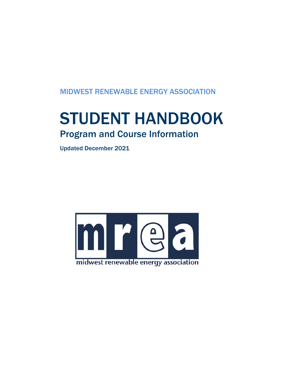MIDWEST RENEWABLE ENERGY ASSOCIATION

# STUDENT HANDBOOK Program and Course Information

Updated December 2021

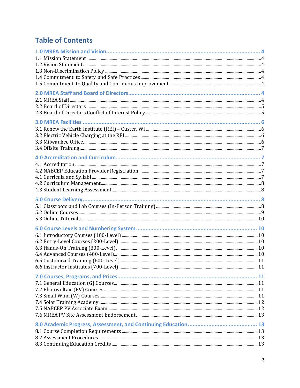# **Table of Contents**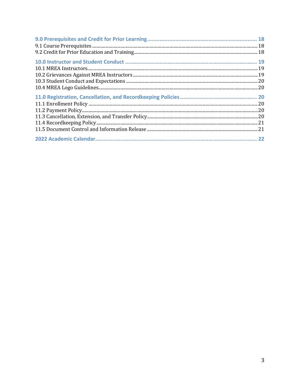| 22 |
|----|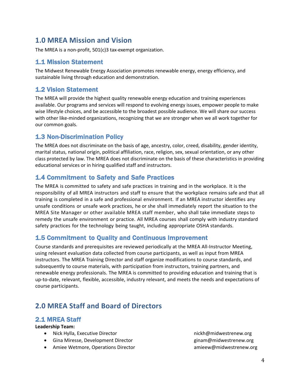# **1.0 MREA Mission and Vision**

The MREA is a non-profit, 501(c)3 tax-exempt organization.

# 1.1 Mission Statement

The Midwest Renewable Energy Association promotes renewable energy, energy efficiency, and sustainable living through education and demonstration.

# 1.2 Vision Statement

The MREA will provide the highest quality renewable energy education and training experiences available. Our programs and services will respond to evolving energy issues, empower people to make wise lifestyle choices, and be accessible to the broadest possible audience. We will share our success with other like-minded organizations, recognizing that we are stronger when we all work together for our common goals.

# 1.3 Non-Discrimination Policy

The MREA does not discriminate on the basis of age, ancestry, color, creed, disability, gender identity, marital status, national origin, political affiliation, race, religion, sex, sexual orientation, or any other class protected by law. The MREA does not discriminate on the basis of these characteristics in providing educational services or in hiring qualified staff and instructors.

# 1.4 Commitment to Safety and Safe Practices

The MREA is committed to safety and safe practices in training and in the workplace. It is the responsibility of all MREA instructors and staff to ensure that the workplace remains safe and that all training is completed in a safe and professional environment. If an MREA instructor identifies any unsafe conditions or unsafe work practices, he or she shall immediately report the situation to the MREA Site Manager or other available MREA staff member, who shall take immediate steps to remedy the unsafe environment or practice. All MREA courses shall comply with industry standard safety practices for the technology being taught, including appropriate OSHA standards.

# 1.5 Commitment to Quality and Continuous Improvement

Course standards and prerequisites are reviewed periodically at the MREA All-Instructor Meeting, using relevant evaluation data collected from course participants, as well as input from MREA instructors. The MREA Training Director and staff organize modifications to course standards, and subsequently to course materials, with participation from instructors, training partners, and renewable energy professionals. The MREA is committed to providing education and training that is up-to-date, relevant, flexible, accessible, industry relevant, and meets the needs and expectations of course participants.

# **2.0 MREA Staff and Board of Directors**

### 2.1 MREA Staff

#### **Leadership Team:**

- Nick Hylla, Executive Director nickh@midwestrenew.org
- Gina Miresse, Development Director **Gives and State and State and State and State and State and State and State and State and State and State and State and State and State and State and State and State and State and Stat**
- Amiee Wetmore, Operations Director amineew@midwestrenew.org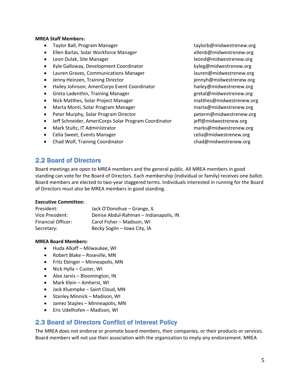#### **MREA Staff Members:**

- Taylor Ball, Program Manager taylor taylorb@midwestrenew.org
- Ellen Barlas, Solar Workforce Manager ellenb@midwestrenew.org
- Leon Dulak, Site Manager and a state of the leond@midwestrenew.org
- Kyle Galloway, Development Coordinator https://www.wikyleg@midwestrenew.org
- Lauren Graves, Communications Manager lauren@midwestrenew.org
- Jenny Heinzen, Training Director in the state of the state of gennyh@midwestrenew.org
- Hailey Johnson, AmeriCorps Event Coordinator hailey@midwestrenew.org
- Greta Ladenthin, Training Manager and the second gretal@midwestrenew.org
- Nick Matthes, Solar Project Manager matthes@midwestrenew.org
- Marta Monti, Solar Program Manager marta@midwestrenew.org
- Peter Murphy, Solar Program Director **peterm@midwestrenew.org**
- Jeff Schneider, AmeriCorps Solar Program Coordinator jeff@midwestrenew.org
- Mark Stultz, IT Administrator marks@midwestrenew.org
- Celia Sweet, Events Manager celia Channel Celia Celia@midwestrenew.org
- Chad Wolf, Training Coordinator chad@midwestrenew.org

# 2.2 Board of Directors

Board meetings are open to MREA members and the general public. All MREA members in good standing can vote for the Board of Directors. Each membership (individual or family) receives one ballot. Board members are elected to two-year staggered terms. Individuals interested in running for the Board of Directors must also be MREA members in good standing.

#### **Executive Committee:**

| President:         | Jack O'Donohue - Grange, IL            |
|--------------------|----------------------------------------|
| Vice President:    | Denise Abdul-Rahman - Indianapolis, IN |
| Financial Officer: | Carol Fisher – Madison, WI             |
| Secretary:         | Becky Soglin - Iowa City, IA           |

#### **MREA Board Members:**

- Huda Alkaff Milwaukee, WI
- Robert Blake Roseville, MN
- Fritz Ebinger Minneapolis, MN
- Nick Hylla Custer, WI
- Alex Jarvis Bloomington, IN
- Mark Klein Amherst, WI
- Jack Kluempke Saint Cloud, MN
- Stanley Minnick Madison, WI
- Jamez Staples Minneapolis, MN
- Eric Udelhofen Madison, WI

### 2.3 Board of Directors Conflict of Interest Policy

The MREA does not endorse or promote board members, their companies, or their products or services. Board members will not use their association with the organization to imply any endorsement. MREA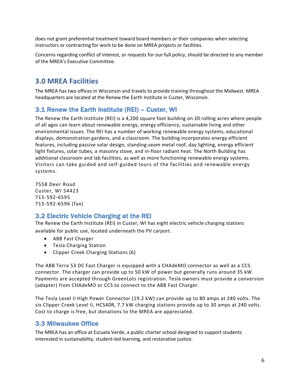does not grant preferential treatment toward board members or their companies when selecting instructors or contracting for work to be done on MREA projects or facilities.

Concerns regarding conflict of interest, or requests for our full policy, should be directed to any member of the MREA's Executive Committee.

# **3.0 MREA Facilities**

The MREA has two offices in Wisconsin and travels to provide training throughout the Midwest. MREA headquarters are located at the Renew the Earth Institute in Custer, Wisconsin.

# 3.1 Renew the Earth Institute (REI) – Custer, WI

The Renew the Earth Institute (REI) is a 4,200 square foot building on 20 rolling acres where people of all ages can learn about renewable energy, energy efficiency, sustainable living and other environmental issues. The REI has a number of working renewable energy systems, educational displays, demonstration gardens, and a classroom. The building incorporates energy efficient features, including passive solar design, standing-seam metal roof, day lighting, energy efficient light fixtures, solar tubes, a masonry stove, and in-floor radiant heat. The North Building has additional classroom and lab facilities, as well as more functioning renewable energy systems. Visitors can take guided and self-guided tours of the facilities and renewable energy systems.

7558 Deer Road Custer, WI 54423 715-592-6595 715-592-6596 (fax)

# 3.2 Electric Vehicle Charging at the REI

The Renew the Earth Institute (REI) in Custer, WI has eight electric vehicle charging stations available for public use, located underneath the PV carport.

- ABB Fast Charger
- Tesla Charging Station
- Clipper Creek Charging Stations (6)

The ABB Terra 53 DC Fast Charger is equipped with a CHAdeMO connector as well as a CCS connector. The charger can provide up to 50 kW of power but generally runs around 35 kW. Payments are accepted through GreenLots registration. Tesla owners must provide a conversion (adapter) from CHAdeMO or CCS to connect to the ABB Fast Charger.

The Tesla Level II High Power Connector (19.2 kW) can provide up to 80 amps at 240 volts. The six Clipper Creek Level II, HCS40R, 7.7 kW charging stations provide up to 30 amps at 240 volts. Cost to charge is free, but donations to the MREA are appreciated.

# 3.3 Milwaukee Office

The MREA has an office at Escuela Verde, a public charter school designed to support students interested in sustainability, student-led learning, and restorative justice.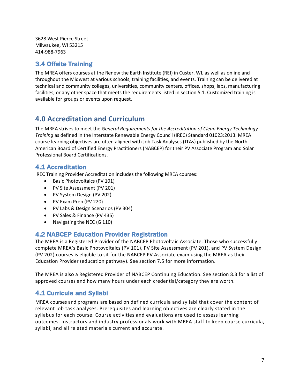3628 West Pierce Street Milwaukee, WI 53215 414-988-7963

# 3.4 Offsite Training

The MREA offers courses at the Renew the Earth Institute (REI) in Custer, WI, as well as online and throughout the Midwest at various schools, training facilities, and events. Training can be delivered at technical and community colleges, universities, community centers, offices, shops, labs, manufacturing facilities, or any other space that meets the requirements listed in section 5.1. Customized training is available for groups or events upon request.

# **4.0 Accreditation and Curriculum**

The MREA strives to meet the *General Requirements for the Accreditation of Clean Energy Technology Training* as defined in the Interstate Renewable Energy Council (IREC) Standard 01023:2013. MREA course learning objectives are often aligned with Job Task Analyses (JTAs) published by the North American Board of Certified Energy Practitioners (NABCEP) for their PV Associate Program and Solar Professional Board Certifications.

# 4.1 Accreditation

IREC Training Provider Accreditation includes the following MREA courses:

- Basic Photovoltaics (PV 101)
- PV Site Assessment (PV 201)
- PV System Design (PV 202)
- PV Exam Prep (PV 220)
- PV Labs & Design Scenarios (PV 304)
- PV Sales & Finance (PV 435)
- Navigating the NEC (G 110)

# 4.2 NABCEP Education Provider Registration

The MREA is a Registered Provider of the NABCEP Photovoltaic Associate. Those who successfully complete MREA's Basic Photovoltaics (PV 101), PV Site Assessment (PV 201), and PV System Design (PV 202) courses is eligible to sit for the NABCEP PV Associate exam using the MREA as their Education Provider (education pathway). See section 7.5 for more information.

The MREA is also a Registered Provider of NABCEP Continuing Education. See section 8.3 for a list of approved courses and how many hours under each credential/category they are worth.

# 4.1 Curricula and Syllabi

MREA courses and programs are based on defined curricula and syllabi that cover the content of relevant job task analyses. Prerequisites and learning objectives are clearly stated in the syllabus for each course. Course activities and evaluations are used to assess learning outcomes. Instructors and industry professionals work with MREA staff to keep course curricula, syllabi, and all related materials current and accurate.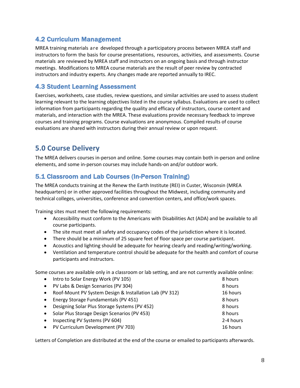# 4.2 Curriculum Management

MREA training materials are developed through a participatory process between MREA staff and instructors to form the basis for course presentations, resources, activities, and assessments. Course materials are reviewed by MREA staff and instructors on an ongoing basis and through instructor meetings. Modifications to MREA course materials are the result of peer review by contracted instructors and industry experts. Any changes made are reported annually to IREC.

# 4.3 Student Learning Assessment

Exercises, worksheets, case studies, review questions, and similar activities are used to assess student learning relevant to the learning objectives listed in the course syllabus. Evaluations are used to collect information from participants regarding the quality and efficacy of instructors, course content and materials, and interaction with the MREA. These evaluations provide necessary feedback to improve courses and training programs. Course evaluations are anonymous. Compiled results of course evaluations are shared with instructors during their annual review or upon request.

# **5.0 Course Delivery**

The MREA delivers courses in-person and online. Some courses may contain both in-person and online elements, and some in-person courses may include hands-on and/or outdoor work.

# 5.1 Classroom and Lab Courses (In-Person Training)

The MREA conducts training at the Renew the Earth Institute (REI) in Custer, Wisconsin (MREA headquarters) or in other approved facilities throughout the Midwest, including community and technical colleges, universities, conference and convention centers, and office/work spaces.

Training sites must meet the following requirements:

- Accessibility must conform to the Americans with Disabilities Act (ADA) and be available to all course participants.
- The site must meet all safety and occupancy codes of the jurisdiction where it is located.
- There should be a minimum of 25 square feet of floor space per course participant.
- Acoustics and lighting should be adequate for hearing clearly and reading/writing/working.
- Ventilation and temperature control should be adequate for the health and comfort of course participants and instructors.

Some courses are available only in a classroom or lab setting, and are not currently available online:

| $\bullet$ | Intro to Solar Energy Work (PV 105)                     | 8 hours   |
|-----------|---------------------------------------------------------|-----------|
| $\bullet$ | PV Labs & Design Scenarios (PV 304)                     | 8 hours   |
| $\bullet$ | Roof-Mount PV System Design & Installation Lab (PV 312) | 16 hours  |
| $\bullet$ | Energy Storage Fundamentals (PV 451)                    | 8 hours   |
| $\bullet$ | Designing Solar Plus Storage Systems (PV 452)           | 8 hours   |
|           | Solar Plus Storage Design Scenarios (PV 453)            | 8 hours   |
| $\bullet$ | Inspecting PV Systems (PV 604)                          | 2-4 hours |
|           | PV Curriculum Development (PV 703)                      | 16 hours  |
|           |                                                         |           |

Letters of Completion are distributed at the end of the course or emailed to participants afterwards.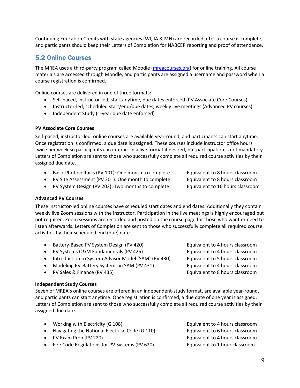Continuing Education Credits with state agencies (WI, IA & MN) are recorded after a course is complete, and participants should keep their Letters of Completion for NABCEP reporting and proof of attendance.

### 5.2 Online Courses

The MREA uses a third-party program called Moodle (mreacourses.org) for online training. All course materials are accessed through Moodle, and participants are assigned a username and password when a course registration is confirmed.

Online courses are delivered in one of three formats:

- Self-paced, instructor-led, start anytime, due dates enforced (PV Associate Core Courses)
- Instructor-led, scheduled start/end/due dates, weekly live meetings (Advanced PV courses)
- Independent Study (1-year due date enforced)

#### **PV Associate Core Courses**

Self-paced, instructor-led, online courses are available year-round, and participants can start anytime. Once registration is confirmed, a due date is assigned. These courses include instructor office hours twice per week so participants can interact in a live format if desired, but participation is not mandatory. Letters of Completion are sent to those who successfully complete all required course activities by their assigned due date.

- Basic Photovoltaics (PV 101): One month to complete Equivalent to 8 hours classroom
- PV Site Assessment (PV 201): One month to complete Equivalent to 8 hours classroom

• PV System Design (PV 202): Two months to complete Equivalent to 16 hours classroom

#### **Advanced PV Courses**

These instructor-led online courses have scheduled start dates and end dates. Additionally they contain weekly live Zoom sessions with the instructor. Participation in the live meetings is highly encouraged but not required. Zoom sessions are recorded and posted on the course page for those who want or need to listen afterwards. Letters of Completion are sent to those who successfully complete all required course activities by their scheduled end (due) date.

- Battery-Based PV System Design (PV 420) Equivalent to 4 hours classroom
- PV Systems O&M Fundamentals (PV 425) Equivalent to 4 hours classroom
- Introduction to System Advisor Model [SAM] (PV 430) Equivalent to 5 hours classroom
- 
- 

#### **Independent Study Courses**

Seven of MREA's online courses are offered in an independent-study format, are available year-round, and participants can start anytime. Once registration is confirmed, a due date of one year is assigned. Letters of Completion are sent to those who successfully complete all required course activities by their assigned due date.

- Working with Electricity (G 108) **E**quivalent to 4 hours classroom
- Navigating the National Electrical Code (G 110) Equivalent to 6 hours classroom
- 
- Fire Code Regulations for PV Systems (PV 620) Equivalent to 1 hour classroom

• PV Exam Prep (PV 220) **Equivalent to 4 hours classroom** 

• Modeling PV-Battery Systems in SAM (PV 431) Equivalent to 4 hours classroom • PV Sales & Finance (PV 435) Equivalent to 8 hours classroom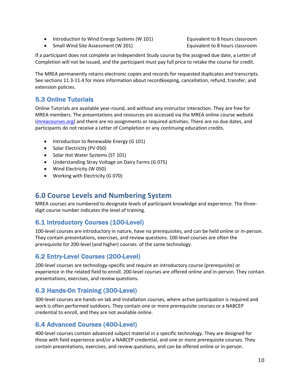• Introduction to Wind Energy Systems (W 101) Equivalent to 8 hours classroom

• Small Wind Site Assessment (W 201) The equivalent to 8 hours classroom

If a participant does not complete an Independent Study course by the assigned due date, a Letter of Completion will not be issued, and the participant must pay full price to retake the course for credit.

The MREA permanently retains electronic copies and records for requested duplicates and transcripts. See sections 11.3-11.4 for more information about recordkeeping, cancellation, refund, transfer, and extension policies.

# 5.3 Online Tutorials

Online Tutorials are available year-round, and without any instructor interaction. They are free for MREA members. The presentations and resources are accessed via the MREA online course website (mreacourses.org) and there are no assignments or required activities. There are no due dates, and participants do not receive a Letter of Completion or any continuing education credits.

- Introduction to Renewable Energy (G 101)
- Solar Electricity (PV 050)
- Solar Hot Water Systems (ST 101)
- Understanding Stray Voltage on Dairy Farms (G 075)
- Wind Electricity (W 050)
- Working with Electricity (G 070)

# **6.0 Course Levels and Numbering System**

MREA courses are numbered to designate levels of participant knowledge and experience. The threedigit course number indicates the level of training.

# 6.1 Introductory Courses (100-Level)

100-level courses are introductory in nature, have no prerequisites, and can be held online or in-person. They contain presentations, exercises, and review questions. 100-level courses are often the prerequisite for 200-level (and higher) courses of the same technology.

# 6.2 Entry-Level Courses (200-Level)

200-level courses are technology-specific and require an introductory course (prerequisite) or experience in the related field to enroll. 200-level courses are offered online and in-person. They contain presentations, exercises, and review questions.

# 6.3 Hands-On Training (300-Level)

300-level courses are hands-on lab and installation courses, where active participation is required and work is often performed outdoors. They contain one or more prerequisite courses or a NABCEP credential to enroll, and they are not available online.

# 6.4 Advanced Courses (400-Level)

400-level courses contain advanced subject material in a specific technology. They are designed for those with field experience and/or a NABCEP credential, and one or more prerequisite courses. They contain presentations, exercises, and review questions, and can be offered online or in-person.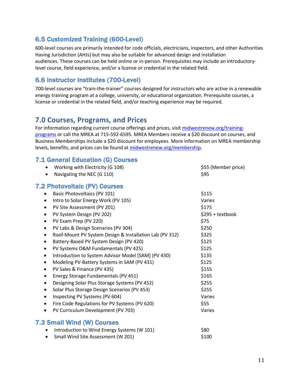# 6.5 Customized Training (600-Level)

600-level courses are primarily intended for code officials, electricians, inspectors, and other Authorities Having Jurisdiction (AHJs) but may also be suitable for advanced design and installation audiences. These courses can be held online or in-person. Prerequisites may include an introductorylevel course, field experience, and/or a license or credential in the related field.

# 6.6 Instructor Institutes (700-Level)

700-level courses are "train-the-trainer" courses designed for instructors who are active in a renewable energy training program at a college, university, or educational organization. Prerequisite courses, a license or credential in the related field, and/or teaching experience may be required.

# **7.0 Courses, Programs, and Prices**

For information regarding current course offerings and prices, visit midwestrenew.org/trainingprograms or call the MREA at 715-592-6595. MREA Members receive a \$20 discount on courses, and Business Memberships include a \$20 discount for employees. More information on MREA membership levels, benefits, and prices can be found at midwestrenew.org/membership.

# 7.1 General Education (G) Courses

| Working with Electricity (G 108)<br>$\bullet$                        | \$55 (Member price) |
|----------------------------------------------------------------------|---------------------|
| Navigating the NEC (G 110)                                           | \$95                |
| <b>7.2 Photovoltaic (PV) Courses</b>                                 |                     |
| Basic Photovoltaics (PV 101)<br>٠                                    | \$115               |
| Intro to Solar Energy Work (PV 105)<br>$\bullet$                     | Varies              |
| PV Site Assessment (PV 201)<br>$\bullet$                             | \$175               |
| PV System Design (PV 202)<br>٠                                       | \$295 + textbook    |
| PV Exam Prep (PV 220)<br>$\bullet$                                   | \$75                |
| PV Labs & Design Scenarios (PV 304)<br>$\bullet$                     | \$250               |
| Roof-Mount PV System Design & Installation Lab (PV 312)<br>$\bullet$ | \$325               |
| Battery-Based PV System Design (PV 420)<br>$\bullet$                 | \$125               |
| PV Systems O&M Fundamentals (PV 425)<br>$\bullet$                    | \$125               |
| Introduction to System Advisor Model [SAM] (PV 430)<br>٠             | \$135               |
| Modeling PV-Battery Systems in SAM (PV 431)<br>$\bullet$             | \$125               |
| PV Sales & Finance (PV 435)<br>٠                                     | \$155               |
| Energy Storage Fundamentals (PV 451)<br>$\bullet$                    | \$165               |
| Designing Solar Plus Storage Systems (PV 452)<br>$\bullet$           | \$255               |
| Solar Plus Storage Design Scenarios (PV 453)<br>$\bullet$            | \$255               |
| Inspecting PV Systems (PV 604)<br>٠                                  | Varies              |
| Fire Code Regulations for PV Systems (PV 620)<br>٠                   | \$55                |
| PV Curriculum Development (PV 703)<br>$\bullet$                      | Varies              |
| <b>7.3 Small Wind (W) Courses</b>                                    |                     |
| Introduction to Wind Energy Systems (W 101)                          | \$80                |
|                                                                      |                     |

• Small Wind Site Assessment (W 201) \$100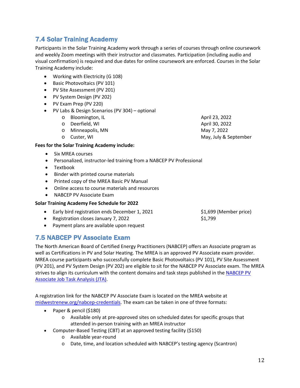Participants in the Solar Training Academy work through a series of courses through online coursework and weekly Zoom meetings with their instructor and classmates. Participation (including audio and visual confirmation) is required and due dates for online coursework are enforced. Courses in the Solar

• Basic Photovoltaics (PV 101)

7.4 Solar Training Academy

- PV Site Assessment (PV 201)
- PV System Design (PV 202)
- PV Exam Prep (PV 220)

Training Academy include:

- PV Labs & Design Scenarios (PV 304) optional
	- o Bloomington, IL and the set of the set of the April 23, 2022
	- o Deerfield, WI April 30, 2022
	- o Minneapolis, MN May 7, 2022
	-

#### **Fees for the Solar Training Academy include:**

- Six MREA courses
- Personalized, instructor-led training from a NABCEP PV Professional
- Textbook
- Binder with printed course materials
- Printed copy of the MREA Basic PV Manual
- Online access to course materials and resources
- NABCEP PV Associate Exam

#### **Solar Training Academy Fee Schedule for 2022**

- Early bird registration ends December 1, 2021 \$1,699 (Member price)
- Registration closes January 7, 2022 **\$1,799**
- Payment plans are available upon request

### 7.5 NABCEP PV Associate Exam

The North American Board of Certified Energy Practitioners (NABCEP) offers an Associate program as well as Certifications in PV and Solar Heating. The MREA is an approved PV Associate exam provider. MREA course participants who successfully complete Basic Photovoltaics (PV 101), PV Site Assessment (PV 201), and PV System Design (PV 202) are eligible to sit for the NABCEP PV Associate exam. The MREA strives to align its curriculum with the content domains and task steps published in the NABCEP PV Associate Job Task Analysis (JTA).

A registration link for the NABCEP PV Associate Exam is located on the MREA website at midwestrenew.org/nabcep-credentials. The exam can be taken in one of three formats:

- Paper & pencil (\$180)
	- o Available only at pre-approved sites on scheduled dates for specific groups that attended in-person training with an MREA instructor
- Computer-Based Testing (CBT) at an approved testing facility (\$150)
	- o Available year-round
	- o Date, time, and location scheduled with NABCEP's testing agency (Scantron)

o Custer, WI May, July & September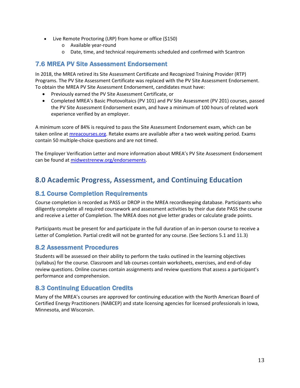- Live Remote Proctoring (LRP) from home or office (\$150)
	- o Available year-round
	- o Date, time, and technical requirements scheduled and confirmed with Scantron

### 7.6 MREA PV Site Assessment Endorsement

In 2018, the MREA retired its Site Assessment Certificate and Recognized Training Provider (RTP) Programs. The PV Site Assessment Certificate was replaced with the PV Site Assessment Endorsement. To obtain the MREA PV Site Assessment Endorsement, candidates must have:

- Previously earned the PV Site Assessment Certificate, or
- Completed MREA's Basic Photovoltaics (PV 101) and PV Site Assessment (PV 201) courses, passed the PV Site Assessment Endorsement exam, and have a minimum of 100 hours of related work experience verified by an employer.

A minimum score of 84% is required to pass the Site Assessment Endorsement exam, which can be taken online at *mreacourses.org*. Retake exams are available after a two week waiting period. Exams contain 50 multiple-choice questions and are not timed.

The Employer Verification Letter and more information about MREA's PV Site Assessment Endorsement can be found at midwestrenew.org/endorsements.

# **8.0 Academic Progress, Assessment, and Continuing Education**

# 8.1 Course Completion Requirements

Course completion is recorded as PASS or DROP in the MREA recordkeeping database. Participants who diligently complete all required coursework and assessment activities by their due date PASS the course and receive a Letter of Completion. The MREA does not give letter grades or calculate grade points.

Participants must be present for and participate in the full duration of an in-person course to receive a Letter of Completion. Partial credit will not be granted for any course. (See Sections 5.1 and 11.3)

# 8.2 Assessment Procedures

Students will be assessed on their ability to perform the tasks outlined in the learning objectives (syllabus) for the course. Classroom and lab courses contain worksheets, exercises, and end-of-day review questions. Online courses contain assignments and review questions that assess a participant's performance and comprehension.

# 8.3 Continuing Education Credits

Many of the MREA's courses are approved for continuing education with the North American Board of Certified Energy Practitioners (NABCEP) and state licensing agencies for licensed professionals in Iowa, Minnesota, and Wisconsin.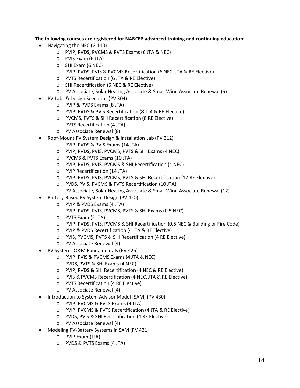**The following courses are registered for NABCEP advanced training and continuing education:** 

- Navigating the NEC (G 110)
	- o PVIP, PVDS, PVCMS & PVTS Exams (6 JTA & NEC)
	- o PVIS Exam (6 JTA)
	- o SHI Exam (6 NEC)
	- o PVIP, PVDS, PVIS & PVCMS Recertification (6 NEC, JTA & RE Elective)
	- o PVTS Recertification (6 JTA & RE Elective)
	- o SHI Recertification (6 NEC & RE Elective)
	- o PV Associate, Solar Heating Associate & Small Wind Associate Renewal (6)
- PV Labs & Design Scenarios (PV 304)
	- o PVIP & PVDS Exams (8 JTA)
	- o PVIP, PVDS & PVIS Recertification (8 JTA & RE Elective)
	- o PVCMS, PVTS & SHI Recertification (8 RE Elective)
	- o PVTS Recertification (4 JTA)
	- o PV Associate Renewal (8)
- Roof-Mount PV System Design & Installation Lab (PV 312)
	- o PVIP, PVDS & PVIS Exams (14 JTA)
	- o PVIP, PVDS, PVIS, PVCMS, PVTS & SHI Exams (4 NEC)
	- o PVCMS & PVTS Exams (10 JTA)
	- o PVIP, PVDS, PVIS, PVCMS & SHI Recertification (4 NEC)
	- o PVIP Recertification (14 JTA)
	- o PVIP, PVDS, PVIS, PVCMS, PVTS & SHI Recertification (12 RE Elective)
	- o PVDS, PVIS, PVCMS & PVTS Recertification (10 JTA)
	- o PV Associate, Solar Heating Associate & Small Wind Associate Renewal (12)
- Battery-Based PV System Design (PV 420)
	- o PVIP & PVDS Exams (4 JTA)
	- o PVIP, PVDS, PVIS, PVCMS, PVTS & SHI Exams (0.5 NEC)
	- o PVTS Exam (2 JTA)
	- o PVIP, PVDS, PVIS, PVCMS & SHI Recertification (0.5 NEC & Building or Fire Code)
	- o PVIP & PVDS Recertification (4 JTA & RE Elective)
	- o PVIS, PVCMS, PVTS & SHI Recertification (4 RE Elective)
	- o PV Associate Renewal (4)
- PV Systems O&M Fundamentals (PV 425)
	- o PVIP, PVIS & PVCMS Exams (4 JTA & NEC)
	- o PVDS, PVTS & SHI Exams (4 NEC)
	- o PVIP, PVDS & SHI Recertification (4 NEC & RE Elective)
	- o PVIS & PVCMS Recertification (4 NEC, JTA & RE Elective)
	- o PVTS Recertification (4 RE Elective)
	- o PV Associate Renewal (4)
- Introduction to System Advisor Model [SAM] (PV 430)
	- o PVIP, PVCMS & PVTS Exams (4 JTA)
	- o PVIP, PVCMS & PVTS Recertification (4 JTA & RE Elective)
	- o PVDS, PVIS & SHI Recertification (4 RE Elective)
	- o PV Associate Renewal (4)
- Modeling PV-Battery Systems in SAM (PV 431)
	- o PVIP Exam (JTA)
	- o PVDS & PVTS Exams (4 JTA)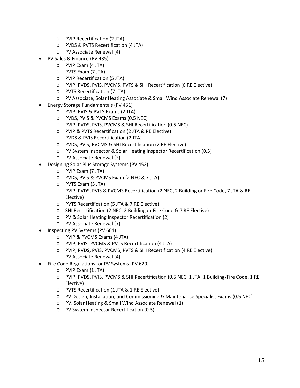- o PVIP Recertification (2 JTA)
- o PVDS & PVTS Recertification (4 JTA)
- o PV Associate Renewal (4)
- PV Sales & Finance (PV 435)
	- o PVIP Exam (4 JTA)
	- o PVTS Exam (7 JTA)
	- o PVIP Recertification (5 JTA)
	- o PVIP, PVDS, PVIS, PVCMS, PVTS & SHI Recertification (6 RE Elective)
	- o PVTS Recertification (7 JTA)
	- o PV Associate, Solar Heating Associate & Small Wind Associate Renewal (7)
- Energy Storage Fundamentals (PV 451)
	- o PVIP, PVIS & PVTS Exams (2 JTA)
	- o PVDS, PVIS & PVCMS Exams (0.5 NEC)
	- o PVIP, PVDS, PVIS, PVCMS & SHI Recertification (0.5 NEC)
	- o PVIP & PVTS Recertification (2 JTA & RE Elective)
	- o PVDS & PVIS Recertification (2 JTA)
	- o PVDS, PVIS, PVCMS & SHI Recertification (2 RE Elective)
	- o PV System Inspector & Solar Heating Inspector Recertification (0.5)
	- o PV Associate Renewal (2)
- Designing Solar Plus Storage Systems (PV 452)
	- o PVIP Exam (7 JTA)
	- o PVDS, PVIS & PVCMS Exam (2 NEC & 7 JTA)
	- o PVTS Exam (5 JTA)
	- o PVIP, PVDS, PVIS & PVCMS Recertification (2 NEC, 2 Building or Fire Code, 7 JTA & RE Elective)
	- o PVTS Recertification (5 JTA & 7 RE Elective)
	- o SHI Recertification (2 NEC, 2 Building or Fire Code & 7 RE Elective)
	- o PV & Solar Heating Inspector Recertification (2)
	- o PV Associate Renewal (7)
- Inspecting PV Systems (PV 604)
	- o PVIP & PVCMS Exams (4 JTA)
	- o PVIP, PVIS, PVCMS & PVTS Recertification (4 JTA)
	- o PVIP, PVDS, PVIS, PVCMS, PVTS & SHI Recertification (4 RE Elective)
	- o PV Associate Renewal (4)
- Fire Code Regulations for PV Systems (PV 620)
	- o PVIP Exam (1 JTA)
	- o PVIP, PVDS, PVIS, PVCMS & SHI Recertification (0.5 NEC, 1 JTA, 1 Building/Fire Code, 1 RE Elective)
	- o PVTS Recertification (1 JTA & 1 RE Elective)
	- o PV Design, Installation, and Commissioning & Maintenance Specialist Exams (0.5 NEC)
	- o PV, Solar Heating & Small Wind Associate Renewal (1)
	- o PV System Inspector Recertification (0.5)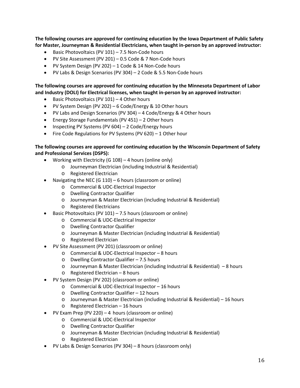**The following courses are approved for continuing education by the Iowa Department of Public Safety for Master, Journeyman & Residential Electricians, when taught in-person by an approved instructor:** 

- Basic Photovoltaics (PV 101) 7.5 Non-Code hours
- PV Site Assessment (PV 201) 0.5 Code & 7 Non-Code hours
- PV System Design (PV 202) 1 Code & 14 Non-Code hours
- PV Labs & Design Scenarios (PV 304) 2 Code & 5.5 Non-Code hours

**The following courses are approved for continuing education by the Minnesota Department of Labor and Industry (DOLI) for Electrical licenses, when taught in-person by an approved instructor:** 

- Basic Photovoltaics (PV 101) 4 Other hours
- PV System Design (PV 202) 6 Code/Energy & 10 Other hours
- PV Labs and Design Scenarios (PV 304) 4 Code/Energy & 4 Other hours
- Energy Storage Fundamentals (PV 451) 2 Other hours
- Inspecting PV Systems (PV 604) 2 Code/Energy hours
- Fire Code Regulations for PV Systems (PV 620) 1 Other hour

#### **The following courses are approved for continuing education by the Wisconsin Department of Safety and Professional Services (DSPS):**

- Working with Electricity (G 108) 4 hours (online only)
	- o Journeyman Electrician (including Industrial & Residential)
	- o Registered Electrician
- Navigating the NEC (G 110) 6 hours (classroom or online)
	- o Commercial & UDC-Electrical Inspector
	- o Dwelling Contractor Qualifier
	- o Journeyman & Master Electrician (including Industrial & Residential)
	- o Registered Electricians
- Basic Photovoltaics (PV 101) 7.5 hours (classroom or online)
	- o Commercial & UDC-Electrical Inspector
	- o Dwelling Contractor Qualifier
	- o Journeyman & Master Electrician (including Industrial & Residential)
	- o Registered Electrician
- PV Site Assessment (PV 201) (classroom or online)
	- o Commercial & UDC-Electrical Inspector 8 hours
	- o Dwelling Contractor Qualifier 7.5 hours
	- o Journeyman & Master Electrician (including Industrial & Residential) 8 hours
	- o Registered Electrician 8 hours
- PV System Design (PV 202) (classroom or online)
	- o Commercial & UDC-Electrical Inspector 16 hours
	- o Dwelling Contractor Qualifier 12 hours
	- o Journeyman & Master Electrician (including Industrial & Residential) 16 hours
	- o Registered Electrician 16 hours
- PV Exam Prep (PV 220) 4 hours (classroom or online)
	- o Commercial & UDC-Electrical Inspector
	- o Dwelling Contractor Qualifier
	- o Journeyman & Master Electrician (including Industrial & Residential)
	- o Registered Electrician
- PV Labs & Design Scenarios (PV 304) 8 hours (classroom only)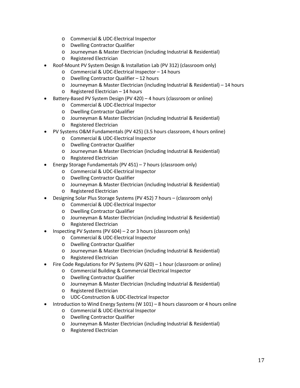- o Commercial & UDC-Electrical Inspector
- o Dwelling Contractor Qualifier
- o Journeyman & Master Electrician (including Industrial & Residential)
- o Registered Electrician
- Roof-Mount PV System Design & Installation Lab (PV 312) (classroom only)
	- o Commercial & UDC-Electrical Inspector 14 hours
	- o Dwelling Contractor Qualifier 12 hours
	- o Journeyman & Master Electrician (including Industrial & Residential) 14 hours
	- o Registered Electrician 14 hours
- Battery-Based PV System Design (PV 420) 4 hours (classroom or online)
	- o Commercial & UDC-Electrical Inspector
	- o Dwelling Contractor Qualifier
	- o Journeyman & Master Electrician (including Industrial & Residential)
	- o Registered Electrician
- PV Systems O&M Fundamentals (PV 425) (3.5 hours classroom, 4 hours online)
	- o Commercial & UDC-Electrical Inspector
	- o Dwelling Contractor Qualifier
	- o Journeyman & Master Electrician (including Industrial & Residential)
	- o Registered Electrician
- Energy Storage Fundamentals (PV 451) 7 hours (classroom only)
	- o Commercial & UDC-Electrical Inspector
	- o Dwelling Contractor Qualifier
	- o Journeyman & Master Electrician (including Industrial & Residential)
	- o Registered Electrician
- Designing Solar Plus Storage Systems (PV 452) 7 hours (classroom only)
	- o Commercial & UDC-Electrical Inspector
	- o Dwelling Contractor Qualifier
	- o Journeyman & Master Electrician (including Industrial & Residential)
	- o Registered Electrician
- Inspecting PV Systems (PV 604) 2 or 3 hours (classroom only)
	- o Commercial & UDC-Electrical Inspector
	- o Dwelling Contractor Qualifier
	- o Journeyman & Master Electrician (including Industrial & Residential)
	- o Registered Electrician
- Fire Code Regulations for PV Systems (PV 620) 1 hour (classroom or online)
	- o Commercial Building & Commercial Electrical Inspector
	- o Dwelling Contractor Qualifier
	- o Journeyman & Master Electrician (Including Industrial & Residential)
	- o Registered Electrician
	- o UDC-Construction & UDC-Electrical Inspector
- Introduction to Wind Energy Systems (W 101) 8 hours classroom or 4 hours online
	- o Commercial & UDC-Electrical Inspector
	- o Dwelling Contractor Qualifier
	- o Journeyman & Master Electrician (including Industrial & Residential)
	- o Registered Electrician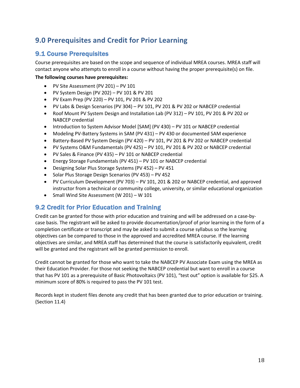# **9.0 Prerequisites and Credit for Prior Learning**

# 9.1 Course Prerequisites

Course prerequisites are based on the scope and sequence of individual MREA courses. MREA staff will contact anyone who attempts to enroll in a course without having the proper prerequisite(s) on file.

### **The following courses have prerequisites:**

- PV Site Assessment (PV 201) PV 101
- PV System Design (PV 202) PV 101 & PV 201
- PV Exam Prep (PV 220) PV 101, PV 201 & PV 202
- PV Labs & Design Scenarios (PV 304) PV 101, PV 201 & PV 202 or NABCEP credential
- Roof Mount PV System Design and Installation Lab (PV 312) PV 101, PV 201 & PV 202 or NABCEP credential
- Introduction to System Advisor Model [SAM] (PV 430) PV 101 or NABCEP credential
- Modeling PV-Battery Systems in SAM (PV 431) PV 430 or documented SAM experience
- Battery-Based PV System Design (PV 420) PV 101, PV 201 & PV 202 or NABCEP credential
- PV Systems O&M Fundamentals (PV 425) PV 101, PV 201 & PV 202 or NABCEP credential
- PV Sales & Finance (PV 435) PV 101 or NABCEP credential
- Energy Storage Fundamentals (PV 451) PV 101 or NABCEP credential
- Designing Solar Plus Storage Systems (PV 452) PV 451
- Solar Plus Storage Design Scenarios (PV 453) PV 452
- PV Curriculum Development (PV 703) PV 101, 201 & 202 or NABCEP credential, and approved instructor from a technical or community college, university, or similar educational organization
- Small Wind Site Assessment (W 201) W 101

# 9.2 Credit for Prior Education and Training

Credit can be granted for those with prior education and training and will be addressed on a case-bycase basis. The registrant will be asked to provide documentation/proof of prior learning in the form of a completion certificate or transcript and may be asked to submit a course syllabus so the learning objectives can be compared to those in the approved and accredited MREA course. If the learning objectives are similar, and MREA staff has determined that the course is satisfactorily equivalent, credit will be granted and the registrant will be granted permission to enroll.

Credit cannot be granted for those who want to take the NABCEP PV Associate Exam using the MREA as their Education Provider. For those not seeking the NABCEP credential but want to enroll in a course that has PV 101 as a prerequisite of Basic Photovoltaics (PV 101), "test out" option is available for \$25. A minimum score of 80% is required to pass the PV 101 test.

Records kept in student files denote any credit that has been granted due to prior education or training. (Section 11.4)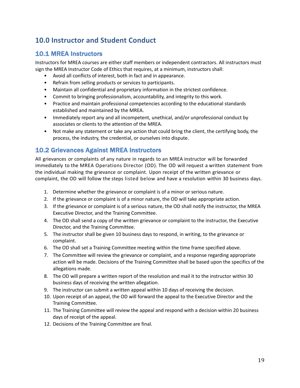# **10.0 Instructor and Student Conduct**

# 10.1 MREA Instructors

Instructors for MREA courses are either staff members or independent contractors. All instructors must sign the MREA Instructor Code of Ethics that requires, at a minimum, instructors shall:

- Avoid all conflicts of interest, both in fact and in appearance.
- Refrain from selling products or services to participants.
- Maintain all confidential and proprietary information in the strictest confidence.
- Commit to bringing professionalism, accountability, and integrity to this work.
- Practice and maintain professional competencies according to the educational standards established and maintained by the MREA.
- Immediately report any and all incompetent, unethical, and/or unprofessional conduct by associates or clients to the attention of the MREA.
- Not make any statement or take any action that could bring the client, the certifying body, the process, the industry, the credential, or ourselves into dispute.

# 10.2 Grievances Against MREA Instructors

All grievances or complaints of any nature in regards to an MREA instructor will be forwarded immediately to the MREA Operations Director (OD). The OD will request a written statement from the individual making the grievance or complaint. Upon receipt of the written grievance or complaint, the OD will follow the steps listed below and have a resolution within 30 business days.

- 1. Determine whether the grievance or complaint is of a minor or serious nature.
- 2. If the grievance or complaint is of a minor nature, the OD will take appropriate action.
- 3. If the grievance or complaint is of a serious nature, the OD shall notify the instructor, the MREA Executive Director, and the Training Committee.
- 4. The OD shall send a copy of the written grievance or complaint to the instructor, the Executive Director, and the Training Committee.
- 5. The instructor shall be given 10 business days to respond, in writing, to the grievance or complaint.
- 6. The OD shall set a Training Committee meeting within the time frame specified above.
- 7. The Committee will review the grievance or complaint, and a response regarding appropriate action will be made. Decisions of the Training Committee shall be based upon the specifics of the allegations made.
- 8. The OD will prepare a written report of the resolution and mail it to the instructor within 30 business days of receiving the written allegation.
- 9. The instructor can submit a written appeal within 10 days of receiving the decision.
- 10. Upon receipt of an appeal, the OD will forward the appeal to the Executive Director and the Training Committee.
- 11. The Training Committee will review the appeal and respond with a decision within 20 business days of receipt of the appeal.
- 12. Decisions of the Training Committee are final.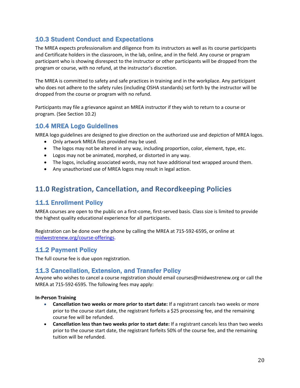# 10.3 Student Conduct and Expectations

The MREA expects professionalism and diligence from its instructors as well as its course participants and Certificate holders in the classroom, in the lab, online, and in the field. Any course or program participant who is showing disrespect to the instructor or other participants will be dropped from the program or course, with no refund, at the instructor's discretion.

The MREA is committed to safety and safe practices in training and in the workplace. Any participant who does not adhere to the safety rules (including OSHA standards) set forth by the instructor will be dropped from the course or program with no refund.

Participants may file a grievance against an MREA instructor if they wish to return to a course or program. (See Section 10.2)

# 10.4 MREA Logo Guidelines

MREA logo guidelines are designed to give direction on the authorized use and depiction of MREA logos.

- Only artwork MREA files provided may be used.
- The logos may not be altered in any way, including proportion, color, element, type, etc.
- Logos may not be animated, morphed, or distorted in any way.
- The logos, including associated words, may not have additional text wrapped around them.
- Any unauthorized use of MREA logos may result in legal action.

# **11.0 Registration, Cancellation, and Recordkeeping Policies**

# 11.1 Enrollment Policy

MREA courses are open to the public on a first-come, first-served basis. Class size is limited to provide the highest quality educational experience for all participants.

Registration can be done over the phone by calling the MREA at 715-592-6595, or online at midwestrenew.org/course-offerings.

# 11.2 Payment Policy

The full course fee is due upon registration.

# 11.3 Cancellation, Extension, and Transfer Policy

Anyone who wishes to cancel a course registration should email courses@midwestrenew.org or call the MREA at 715-592-6595. The following fees may apply:

#### **In-Person Training**

- **Cancellation two weeks or more prior to start date:** If a registrant cancels two weeks or more prior to the course start date, the registrant forfeits a \$25 processing fee, and the remaining course fee will be refunded.
- **Cancellation less than two weeks prior to start date:** If a registrant cancels less than two weeks prior to the course start date, the registrant forfeits 50% of the course fee, and the remaining tuition will be refunded.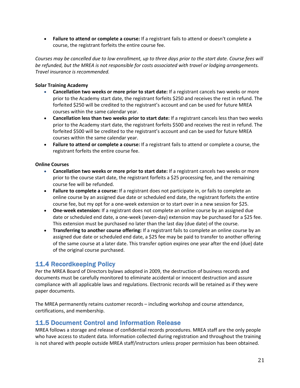• **Failure to attend or complete a course:** If a registrant fails to attend or doesn't complete a course, the registrant forfeits the entire course fee.

*Courses may be cancelled due to low enrollment, up to three days prior to the start date. Course fees will be refunded, but the MREA is not responsible for costs associated with travel or lodging arrangements. Travel insurance is recommended.*

#### **Solar Training Academy**

- **Cancellation two weeks or more prior to start date:** If a registrant cancels two weeks or more prior to the Academy start date, the registrant forfeits \$250 and receives the rest in refund. The forfeited \$250 will be credited to the registrant's account and can be used for future MREA courses within the same calendar year.
- **Cancellation less than two weeks prior to start date:** If a registrant cancels less than two weeks prior to the Academy start date, the registrant forfeits \$500 and receives the rest in refund. The forfeited \$500 will be credited to the registrant's account and can be used for future MREA courses within the same calendar year.
- **Failure to attend or complete a course:** If a registrant fails to attend or complete a course, the registrant forfeits the entire course fee.

### **Online Courses**

- **Cancellation two weeks or more prior to start date:** If a registrant cancels two weeks or more prior to the course start date, the registrant forfeits a \$25 processing fee, and the remaining course fee will be refunded.
- **Failure to complete a course:** If a registrant does not participate in, or fails to complete an online course by an assigned due date or scheduled end date, the registrant forfeits the entire course fee, but my opt for a one-week extension or to start over in a new session for \$25.
- **One-week extension:** If a registrant does not complete an online course by an assigned due date or scheduled end date, a one-week (seven-day) extension may be purchased for a \$25 fee. This extension must be purchased no later than the last day (due date) of the course.
- **Transferring to another course offering:** If a registrant fails to complete an online course by an assigned due date or scheduled end date, a \$25 fee may be paid to transfer to another offering of the same course at a later date. This transfer option expires one year after the end (due) date of the original course purchased.

# 11.4 Recordkeeping Policy

Per the MREA Board of Directors bylaws adopted in 2009, the destruction of business records and documents must be carefully monitored to eliminate accidental or innocent destruction and assure compliance with all applicable laws and regulations. Electronic records will be retained as if they were paper documents.

The MREA permanently retains customer records – including workshop and course attendance, certifications, and membership.

### 11.5 Document Control and Information Release

MREA follows a storage and release of confidential records procedures. MREA staff are the only people who have access to student data. Information collected during registration and throughout the training is not shared with people outside MREA staff/instructors unless proper permission has been obtained.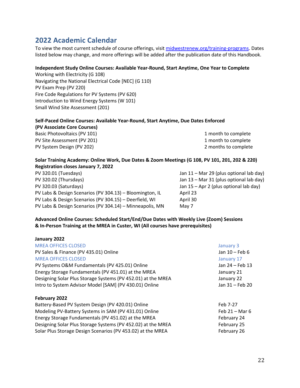# **2022 Academic Calendar**

To view the most current schedule of course offerings, visit midwestrenew.org/training-programs. Dates listed below may change, and more offerings will be added after the publication date of this Handbook.

#### **Independent Study Online Courses: Available Year-Round, Start Anytime, One Year to Complete**

Working with Electricity (G 108) Navigating the National Electrical Code [NEC] (G 110) PV Exam Prep (PV 220) Fire Code Regulations for PV Systems (PV 620) Introduction to Wind Energy Systems (W 101) Small Wind Site Assessment (201)

#### **Self-Paced Online Courses: Available Year-Round, Start Anytime, Due Dates Enforced**

**(PV Associate Core Courses)**  Basic Photovoltaics (PV 101) 2008 1 month to complete PV Site Assessment (PV 201) 1 month to complete

PV System Design (PV 202) 2 months to complete

#### **Solar Training Academy: Online Work, Due Dates & Zoom Meetings (G 108, PV 101, 201, 202 & 220) Registration closes January 7, 2022**

PV 320.01 (Tuesdays) Jan 11 – Mar 29 (plus optional lab day) PV 320.02 (Thursdays) Jan 13 – Mar 31 (plus optional lab day) PV 320.03 (Saturdays) Jan 15 – Apr 2 (plus optional lab day) PV Labs & Design Scenarios (PV 304.13) – Bloomington, IL April 23 PV Labs & Design Scenarios (PV 304.15) – Deerfield, WI April 30 PV Labs & Design Scenarios (PV 304.14) – Minneapolis, MN May 7

### **Advanced Online Courses: Scheduled Start/End/Due Dates with Weekly Live (Zoom) Sessions & In-Person Training at the MREA in Custer, WI (All courses have prerequisites)**

| January 2022                                                 |                  |
|--------------------------------------------------------------|------------------|
| <b>MREA OFFICES CLOSED</b>                                   | January 3        |
| PV Sales & Finance (PV 435.01) Online                        | Jan 10 - Feb 6   |
| <b>MREA OFFICES CLOSED</b>                                   | January 17       |
| PV Systems O&M Fundamentals (PV 425.01) Online               | Jan 24 - Feb 13  |
| Energy Storage Fundamentals (PV 451.01) at the MREA          | January 21       |
| Designing Solar Plus Storage Systems (PV 452.01) at the MREA | January 22       |
| Intro to System Advisor Model [SAM] (PV 430.01) Online       | Jan 31 - Feb 20  |
| February 2022                                                |                  |
| Battery-Based PV System Design (PV 420.01) Online            | Feb 7-27         |
| Modeling PV-Battery Systems in SAM (PV 431.01) Online        | Feb $21 -$ Mar 6 |
| Energy Storage Fundamentals (PV 451.02) at the MREA          | February 24      |
| Designing Solar Plus Storage Systems (PV 452.02) at the MREA | February 25      |
| Solar Plus Storage Design Scenarios (PV 453.02) at the MREA  | February 26      |